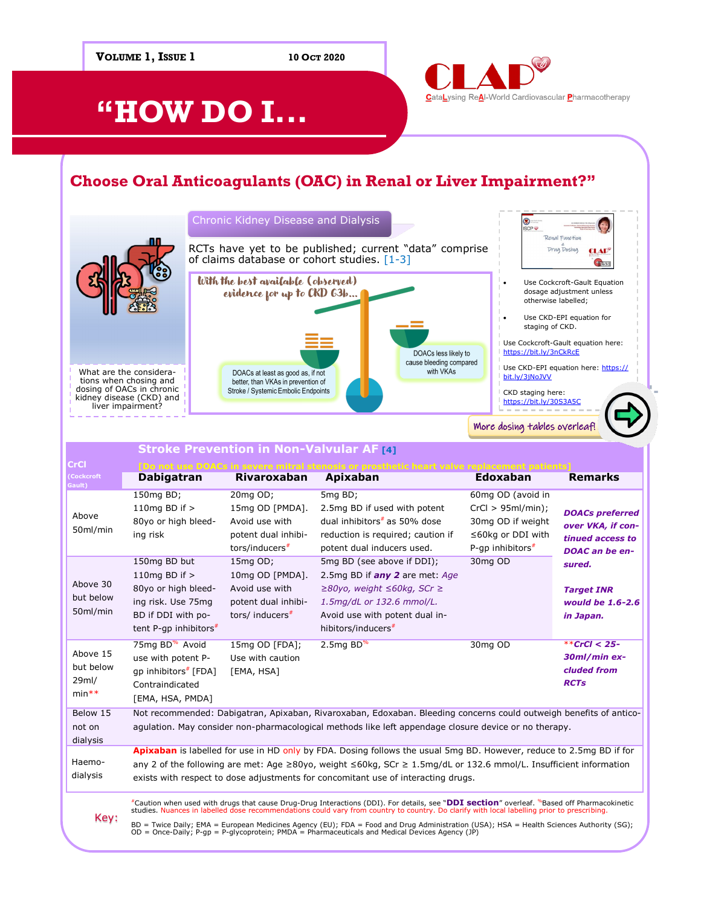**VOLUME 1, ISSUE 1 10 OCT 2020** CataLysing ReAl-World Cardiovascular Pharmacotherapy **"HOW DO I... Choose Oral Anticoagulants (OAC) in Renal or Liver Impairment?"**

#### Chronic Kidney Disease and Dialysis ⊛ **SCP** Renal Function RCTs have yet to be published; current "data" comprise Drug Dosing **CLAD**<sup>®</sup> of claims database or cohort studies. [1-3] \$1.53 With the best available (observed) • Use Cockcroft-Gault Equation evidence for up to CKD 63b... dosage adjustment unless otherwise labelled; Use CKD-EPI equation for staging of CKD. Use Cockcroft-Gault equation here: <https://bit.ly/3nCkRcE> DOACs less likely to cause bleeding compared Use CKD-[EPI equation here: ht](https://bit.ly/3nCkRcE)tps:// What are the considera-DOACs at least as good as, if not with VKAs bit.ly/3jNoJVV tions when chosing and better, than VKAs in prevention of dosing of OACs in chronic kidney disease (CKD) and Stroke / Systemic Embolic Endpoints CKD staging here: <https://bit.ly/30S3A5C> liver impairment? More dosing tables overleaf!

|                                           | Stroke Prevention in Non-Valvular AF [4]                                                                                                                                                                                                                                                                                                          |                                                                                                     |                                                                                                                                                                                                                                                                                                                                                                                                                                                                                                                                                      |                                                                                                               |                                                                                          |
|-------------------------------------------|---------------------------------------------------------------------------------------------------------------------------------------------------------------------------------------------------------------------------------------------------------------------------------------------------------------------------------------------------|-----------------------------------------------------------------------------------------------------|------------------------------------------------------------------------------------------------------------------------------------------------------------------------------------------------------------------------------------------------------------------------------------------------------------------------------------------------------------------------------------------------------------------------------------------------------------------------------------------------------------------------------------------------------|---------------------------------------------------------------------------------------------------------------|------------------------------------------------------------------------------------------|
| CrCl.                                     |                                                                                                                                                                                                                                                                                                                                                   |                                                                                                     |                                                                                                                                                                                                                                                                                                                                                                                                                                                                                                                                                      |                                                                                                               |                                                                                          |
| Cockcroft<br>Gault)                       | <b>Dabigatran</b>                                                                                                                                                                                                                                                                                                                                 | <b>Rivaroxaban</b>                                                                                  | Apixaban                                                                                                                                                                                                                                                                                                                                                                                                                                                                                                                                             | <b>Edoxaban</b>                                                                                               | <b>Remarks</b>                                                                           |
| Above<br>50ml/min                         | 150mg BD;<br>110 $mg$ BD if $>$<br>80yo or high bleed-<br>ing risk                                                                                                                                                                                                                                                                                | 20mg OD;<br>15mg OD [PMDA].<br>Avoid use with<br>potent dual inhibi-<br>tors/inducers <sup>#</sup>  | 5mg BD;<br>2.5mg BD if used with potent<br>dual inhibitors <sup>#</sup> as 50% dose<br>reduction is required; caution if<br>potent dual inducers used.                                                                                                                                                                                                                                                                                                                                                                                               | 60mg OD (avoid in<br>CrCl > 95ml/min);<br>30mg OD if weight<br>$\leq$ 60kg or DDI with<br>P-qp inhibitors $*$ | <b>DOACs preferred</b><br>over VKA, if con-<br>tinued access to<br><b>DOAC</b> an be en- |
| Above 30<br>but below<br>50ml/min         | 150mg BD but<br>110 $mg$ BD if $>$<br>80yo or high bleed-<br>ing risk. Use 75mg<br>BD if DDI with po-<br>tent P-qp inhibitors $*$                                                                                                                                                                                                                 | 15mg OD;<br>10mg OD [PMDA].<br>Avoid use with<br>potent dual inhibi-<br>tors/ inducers <sup>#</sup> | 5mg BD (see above if DDI);<br>2.5mg BD if any 2 are met: Age<br>$\geq$ 80yo, weight $\leq$ 60kg, SCr $\geq$<br>1.5mg/dL or 132.6 mmol/L.<br>Avoid use with potent dual in-<br>hibitors/inducers <sup>#</sup>                                                                                                                                                                                                                                                                                                                                         | 30mg OD                                                                                                       | sured.<br><b>Target INR</b><br>would be 1.6-2.6<br>in Japan.                             |
| Above 15<br>but below<br>29ml/<br>$min**$ | 75mg BD <sup>%</sup> Avoid<br>use with potent P-<br>qp inhibitors <sup>#</sup> [FDA]<br>Contraindicated<br>[EMA, HSA, PMDA]                                                                                                                                                                                                                       | 15mg OD [FDA];<br>Use with caution<br>[EMA, HSA]                                                    | $2.5$ mg BD <sup>%</sup>                                                                                                                                                                                                                                                                                                                                                                                                                                                                                                                             | 30mg OD                                                                                                       | **CrCl < $25-$<br>30ml/min ex-<br>cluded from<br><b>RCTs</b>                             |
| Below 15<br>not on<br>dialysis            | Not recommended: Dabigatran, Apixaban, Rivaroxaban, Edoxaban. Bleeding concerns could outweigh benefits of antico-<br>agulation. May consider non-pharmacological methods like left appendage closure device or no therapy.                                                                                                                       |                                                                                                     |                                                                                                                                                                                                                                                                                                                                                                                                                                                                                                                                                      |                                                                                                               |                                                                                          |
| Haemo-<br>dialysis                        | Apixaban is labelled for use in HD only by FDA. Dosing follows the usual 5mg BD. However, reduce to 2.5mg BD if for<br>any 2 of the following are met: Age $\geq 80$ yo, weight $\leq 60$ kg, SCr $\geq 1.5$ mg/dL or 132.6 mmol/L. Insufficient information<br>exists with respect to dose adjustments for concomitant use of interacting drugs. |                                                                                                     |                                                                                                                                                                                                                                                                                                                                                                                                                                                                                                                                                      |                                                                                                               |                                                                                          |
| Key:                                      |                                                                                                                                                                                                                                                                                                                                                   |                                                                                                     | *Caution when used with drugs that cause Drug-Drug Interactions (DDI). For details, see "DDI section" overleaf. <sup>%</sup> Based off Pharmacokinetic<br>studies. Nuances in labelled dose recommendations could vary from country to country. Do clarify with local labelling prior to prescribing.<br>$\mathcal{L}$ and $\mathcal{L}$ are $\mathcal{L}$ . The set of the set of the set of the set of the set of the set of the set of the set of the set of the set of the set of the set of the set of the set of the set of the set of the set |                                                                                                               |                                                                                          |

BD = Twice Daily; EMA = European Medicines Agency (EU); FDA = Food and Drug Administration (USA); HSA = Health Sciences Authority (SG);<br>OD = Once-Daily; P-gp = P-glycoprotein; PMDA = Pharmaceuticals and Medical Devices Age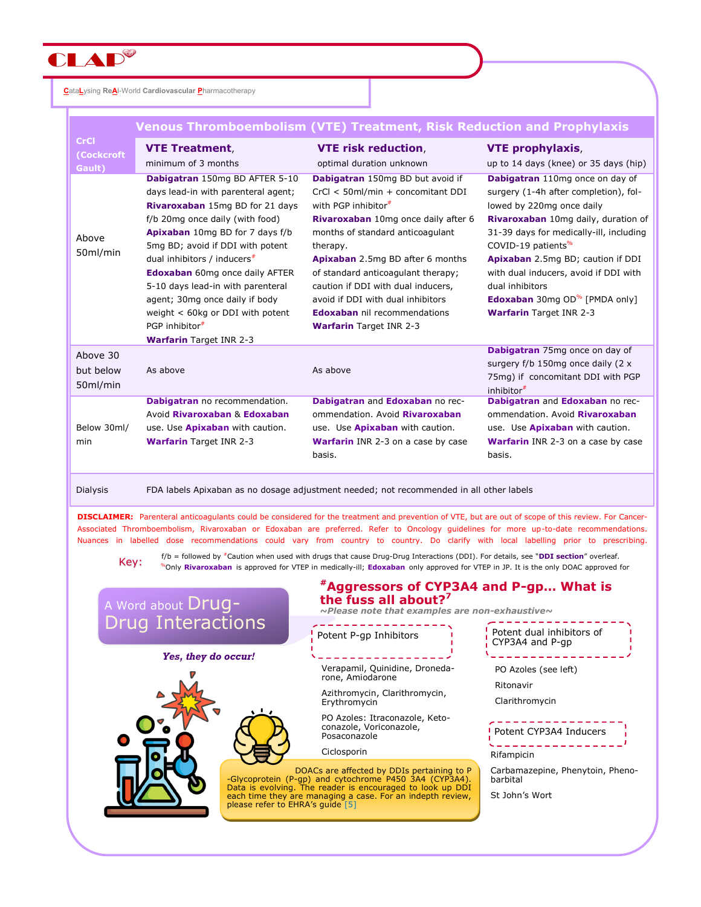

**C**ata**L**ysing **ReA**l-World **Cardiovascular P**harmacotherapy

|                                     | <b>Venous Thromboembolism (VTE) Treatment, Risk Reduction and Prophylaxis</b>                                                                                                                                                                                                                                                                                                                                                                                           |                                                                                                                                                                                                                                                                                                                                                                                                                                      |                                                                                                                                                                                                                                                                                                                                                                                                                  |  |  |
|-------------------------------------|-------------------------------------------------------------------------------------------------------------------------------------------------------------------------------------------------------------------------------------------------------------------------------------------------------------------------------------------------------------------------------------------------------------------------------------------------------------------------|--------------------------------------------------------------------------------------------------------------------------------------------------------------------------------------------------------------------------------------------------------------------------------------------------------------------------------------------------------------------------------------------------------------------------------------|------------------------------------------------------------------------------------------------------------------------------------------------------------------------------------------------------------------------------------------------------------------------------------------------------------------------------------------------------------------------------------------------------------------|--|--|
| <b>CrCl</b><br>(Cockcroft<br>Gault) | <b>VTE Treatment,</b><br>minimum of 3 months                                                                                                                                                                                                                                                                                                                                                                                                                            | <b>VTE risk reduction,</b><br>optimal duration unknown                                                                                                                                                                                                                                                                                                                                                                               | <b>VTE prophylaxis,</b><br>up to 14 days (knee) or 35 days (hip)                                                                                                                                                                                                                                                                                                                                                 |  |  |
| Above<br>50ml/min                   | Dabigatran 150mg BD AFTER 5-10<br>days lead-in with parenteral agent;<br>Rivaroxaban 15mg BD for 21 days<br>f/b 20mg once daily (with food)<br>Apixaban 10mg BD for 7 days f/b<br>5mg BD; avoid if DDI with potent<br>dual inhibitors / inducers <sup>#</sup><br><b>Edoxaban</b> 60mg once daily AFTER<br>5-10 days lead-in with parenteral<br>agent; 30mg once daily if body<br>weight $<$ 60kg or DDI with potent<br>PGP inhibitor#<br><b>Warfarin</b> Target INR 2-3 | Dabigatran 150mg BD but avoid if<br>CrCl < 50ml/min + concomitant DDI<br>with PGP inhibitor <sup>#</sup><br>Rivaroxaban 10mg once daily after 6<br>months of standard anticoagulant<br>therapy.<br><b>Apixaban</b> 2.5mg BD after 6 months<br>of standard anticoagulant therapy;<br>caution if DDI with dual inducers,<br>avoid if DDI with dual inhibitors<br><b>Edoxaban</b> nil recommendations<br><b>Warfarin</b> Target INR 2-3 | Dabigatran 110mg once on day of<br>surgery (1-4h after completion), fol-<br>lowed by 220mg once daily<br>Rivaroxaban 10mg daily, duration of<br>31-39 days for medically-ill, including<br>COVID-19 patients <sup>%</sup><br>Apixaban 2.5mg BD; caution if DDI<br>with dual inducers, avoid if DDI with<br>dual inhibitors<br><b>Edoxaban</b> 30mg OD <sup>%</sup> [PMDA only]<br><b>Warfarin Target INR 2-3</b> |  |  |
| Above 30<br>but below<br>50ml/min   | As above                                                                                                                                                                                                                                                                                                                                                                                                                                                                | As above                                                                                                                                                                                                                                                                                                                                                                                                                             | Dabigatran 75mg once on day of<br>surgery f/b 150mg once daily (2 x<br>75mg) if concomitant DDI with PGP<br>inhibitor <sup>#</sup>                                                                                                                                                                                                                                                                               |  |  |
| Below 30ml/<br>min                  | Dabigatran no recommendation.<br>Avoid Rivaroxaban & Edoxaban<br>use. Use Apixaban with caution.<br><b>Warfarin</b> Target INR 2-3                                                                                                                                                                                                                                                                                                                                      | Dabigatran and Edoxaban no rec-<br>ommendation. Avoid Rivaroxaban<br>use. Use <b>Apixaban</b> with caution.<br><b>Warfarin</b> INR 2-3 on a case by case<br>basis.                                                                                                                                                                                                                                                                   | Dabigatran and Edoxaban no rec-<br>ommendation. Avoid Rivaroxaban<br>use. Use Apixaban with caution.<br><b>Warfarin</b> INR 2-3 on a case by case<br>basis.                                                                                                                                                                                                                                                      |  |  |

Dialysis FDA labels Apixaban as no dosage adjustment needed; not recommended in all other labels

**DISCLAIMER:** Parenteral anticoagulants could be considered for the treatment and prevention of VTE, but are out of scope of this review. For Cancer-Associated Thromboembolism, Rivaroxaban or Edoxaban are preferred. Refer to Oncology guidelines for more up-to-date recommendations. Nuances in labelled dose recommendations could vary from country to country. Do clarify with local labelling prior to prescribing.

f/b = followed by #Caution when used with drugs that cause Drug-Drug Interactions (DDI). For details, see "**DDI section**" overleaf. Key: We a lonowed by Caddon when used with drugs that cause brug-brug interactions (DDI). To details, see DDI section overlear.<br>Nonly **Rivaroxaban** is approved for VTEP in medically-ill; **Edoxaban** only approved for VTEP i